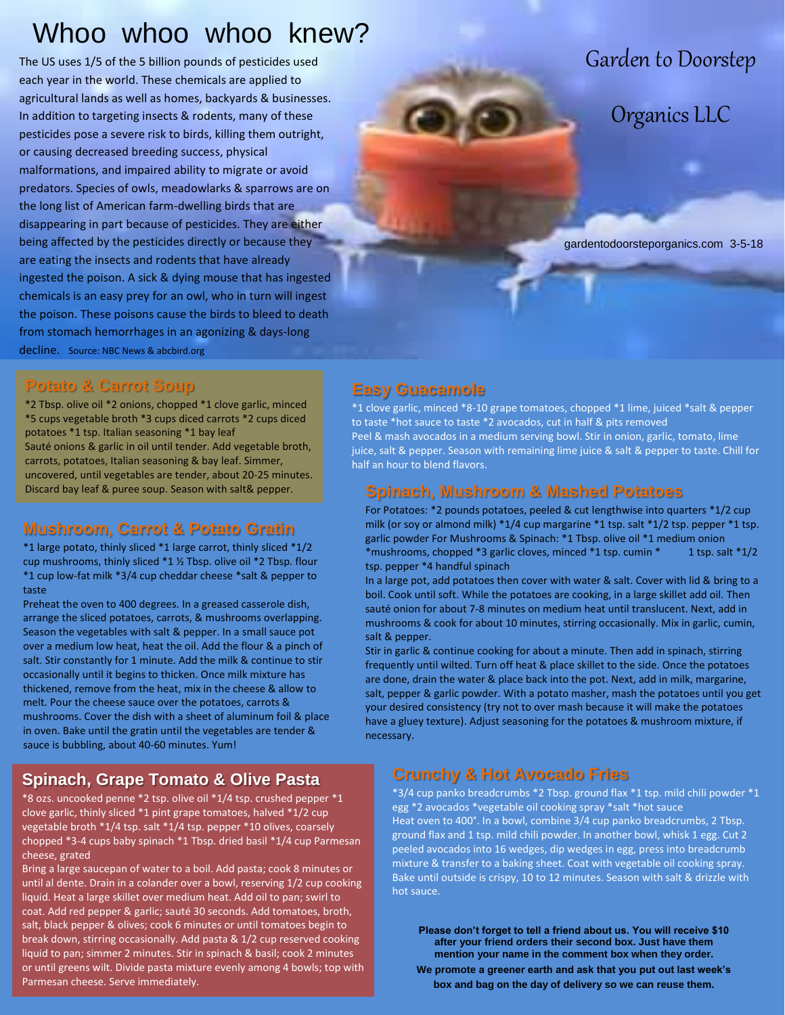# Whoo whoo whoo knew?

The US uses 1/5 of the 5 billion pounds of pesticides used each year in the world. These chemicals are applied to agricultural lands as well as homes, backyards & businesses. In addition to targeting insects & rodents, many of these pesticides pose a severe risk to birds, killing them outright, or causing decreased breeding success, physical malformations, and impaired ability to migrate or avoid predators. Species of owls, meadowlarks & sparrows are on the long list of American farm-dwelling birds that are disappearing in part because of pesticides. They are either being affected by the pesticides directly or because they are eating the insects and rodents that have already ingested the poison. A sick & dying mouse that has ingested chemicals is an easy prey for an owl, who in turn will ingest the poison. These poisons cause the birds to bleed to death from stomach hemorrhages in an agonizing & days-long decline. Source: NBC News & abcbird.org

#### **Potato & Carrot Soup**

\*2 Tbsp. olive oil \*2 onions, chopped \*1 clove garlic, minced \*5 cups vegetable broth \*3 cups diced carrots \*2 cups diced potatoes \*1 tsp. Italian seasoning \*1 bay leaf Sauté onions & garlic in oil until tender. Add vegetable broth, carrots, potatoes, Italian seasoning & bay leaf. Simmer, uncovered, until vegetables are tender, about 20-25 minutes. Discard bay leaf & puree soup. Season with salt& pepper.

#### **Mushroom, Carrot & Potato Gratin**

\*1 large potato, thinly sliced \*1 large carrot, thinly sliced \*1/2 cup mushrooms, thinly sliced \*1 ½ Tbsp. olive oil \*2 Tbsp. flour \*1 cup low-fat milk \*3/4 cup cheddar cheese \*salt & pepper to taste

Preheat the oven to 400 degrees. In a greased casserole dish,<br>arrange the sliced potatoes, carrots, & mushrooms overlapping. Season the vegetables with salt & pepper. In a small sauce pot over a medium low neat, heat the oil. Add the hour & a pinch of<br>salt. Stir constantly for 1 minute. Add the milk & continue to stir **Example 12 to seasonally until it begins to thicken. Once milk mixture has** thickened, remove from the heat, mix in the cheese & allow to melt. Pour the cheese sauce over the potatoes, carrots & In oven, bake and the gradit and the vegetables are tender  $\alpha$  sauce is bubbling, about 40-60 minutes. Yum! sugar, Italian seasoning , salt  $\sigma$ Preheat the oven to 400 degrees. In a greased casserole dish, over a medium low heat, heat the oil. Add the flour & a pinch of mushrooms. Cover the dish with a sheet of aluminum foil & place in oven. Bake until the gratin until the vegetables are tender &

### **Spinach, Grape Tomato & Olive Pasta**

victure. Stir in the garliers of the garliers of the garliers with the garliers of the garliers of the gard Parmes of the garliers of the gard Parmes of the gard of the gard of the gard of the gard of the gard of the gard discussion and prime to the contract from the service of the clove garlic, thinly sliced \*1 pint grape tomatoes, halved \*1/2 cup vegetable broth  $*1/4$  tsp. salt  $*1/4$  tsp. pepper  $*10$  olives, coarsely chopped \*3-4 cups baby spinach \*1 Tbsp. dried basil \*1/4 cup Parmesan cheese, grated

Bring a large saucepan of water to a boil. Add pasta; cook 8 minutes or until al dente. Drain in a colander over a bowl, reserving 1/2 cup cooking liquid. Heat a large skillet over medium heat. Add oil to pan; swirl to coat. Add red pepper & garlic; sauté 30 seconds. Add tomatoes, broth, salt, black pepper & olives; cook 6 minutes or until tomatoes begin to break down, stirring occasionally. Add pasta & 1/2 cup reserved cooking liquid to pan; simmer 2 minutes. Stir in spinach & basil; cook 2 minutes or until greens wilt. Divide pasta mixture evenly among 4 bowls; top with Parmesan cheese. Serve immediately.

## Garden to Doorstep

## Organics LLC

gardentodoorsteporganics.com 3-5-18

### **Easy Guacamole**

\*1 clove garlic, minced \*8-10 grape tomatoes, chopped \*1 lime, juiced \*salt & pepper to taste \*hot sauce to taste \*2 avocados, cut in half & pits removed Peel & mash avocados in a medium serving bowl. Stir in onion, garlic, tomato, lime juice, salt & pepper. Season with remaining lime juice & salt & pepper to taste. Chill for half an hour to blend flavors.

### **Spinach, Mushroom & Mashed Potatoes**

For Potatoes: \*2 pounds potatoes, peeled & cut lengthwise into quarters \*1/2 cup milk (or soy or almond milk)  $*1/4$  cup margarine  $*1$  tsp. salt  $*1/2$  tsp. pepper  $*1$  tsp. garlic powder For Mushrooms & Spinach: \*1 Tbsp. olive oil \*1 medium onion \*mushrooms, chopped \*3 garlic cloves, minced \*1 tsp. cumin \*  $1$  tsp. salt \*1/2 tsp. pepper \*4 handful spinach

In a large pot, add potatoes then cover with water & salt. Cover with lid & bring to a boil. Cook until soft. While the potatoes are cooking, in a large skillet add oil. Then sauté onion for about 7-8 minutes on medium heat until translucent. Next, add in mushrooms & cook for about 10 minutes, stirring occasionally. Mix in garlic, cumin, salt & pepper.

Stir in garlic & continue cooking for about a minute. Then add in spinach, stirring frequently until wilted. Turn off heat & place skillet to the side. Once the potatoes are done, drain the water & place back into the pot. Next, add in milk, margarine, salt, pepper & garlic powder. With a potato masher, mash the potatoes until you get your desired consistency (try not to over mash because it will make the potatoes have a gluey texture). Adjust seasoning for the potatoes & mushroom mixture, if necessary.

### **Crunchy & Hot Avocado Fries**

\*3/4 cup panko breadcrumbs \*2 Tbsp. ground flax \*1 tsp. mild chili powder \*1 egg \*2 avocados \*vegetable oil cooking spray \*salt \*hot sauce Heat oven to 400°. In a bowl, combine 3/4 cup panko breadcrumbs, 2 Tbsp. ground flax and 1 tsp. mild chili powder. In another bowl, whisk 1 egg. Cut 2 peeled avocados into 16 wedges, dip wedges in egg, press into breadcrumb mixture & transfer to a baking sheet. Coat with vegetable oil cooking spray. Bake until outside is crispy, 10 to 12 minutes. Season with salt & drizzle with hot sauce.

**Please don't forget to tell a friend about us. You will receive \$10 after your friend orders their second box. Just have them mention your name in the comment box when they order.**

**We promote a greener earth and ask that you put out last week's box and bag on the day of delivery so we can reuse them.**